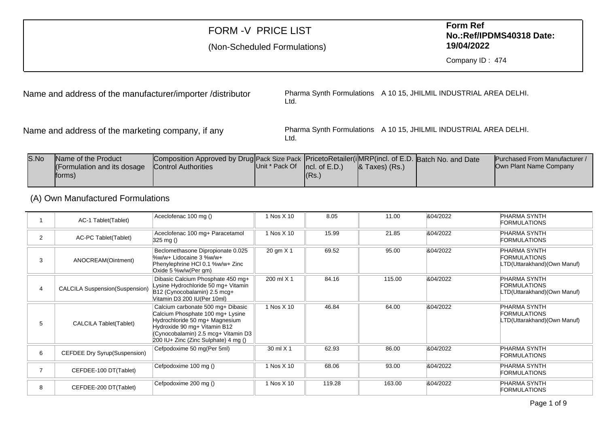#### (Non-Scheduled Formulations)

**Form Ref No.:Ref/IPDMS40318 Date:19/04/2022**

Company ID : 474

Name and address of the manufacturer/importer /distributor

Pharma Synth Formulations A 10 15, JHILMIL INDUSTRIAL AREA DELHI. Ltd.

Name and address of the marketing company, if any

Pharma Synth Formulations A 10 15, JHILMIL INDUSTRIAL AREA DELHI. Ltd.

| S.No | Name of the Product        | Composition Approved by Drug Pack Size Pack   Priceto Retailer (iMRP (incl. of E.D. Batch No. and Date |                 |                     |                   | <b>Purchased From Manufacturer /</b> |
|------|----------------------------|--------------------------------------------------------------------------------------------------------|-----------------|---------------------|-------------------|--------------------------------------|
|      | Formulation and its dosage | <b>Control Authorities</b>                                                                             | IUnit * Pack Of | $ ncl.$ of $E.D.$ ) | $\&$ Taxes) (Rs.) | Own Plant Name Company               |
|      | fforms)                    |                                                                                                        |                 | $ $ (Rs.)           |                   |                                      |
|      |                            |                                                                                                        |                 |                     |                   |                                      |

### (A) Own Manufactured Formulations

|                | AC-1 Tablet(Tablet)                   | Aceclofenac 100 mg ()                                                                                                                                                                                                  | 1 Nos X 10 | 8.05   | 11.00  | 804/2022 | <b>PHARMA SYNTH</b><br><b>FORMULATIONS</b>                                |
|----------------|---------------------------------------|------------------------------------------------------------------------------------------------------------------------------------------------------------------------------------------------------------------------|------------|--------|--------|----------|---------------------------------------------------------------------------|
| $\overline{2}$ | AC-PC Tablet(Tablet)                  | Aceclofenac 100 mg+ Paracetamol<br>$325 \text{ mg}()$                                                                                                                                                                  | 1 Nos X 10 | 15.99  | 21.85  | 804/2022 | <b>PHARMA SYNTH</b><br><b>FORMULATIONS</b>                                |
| 3              | ANOCREAM(Ointment)                    | Beclomethasone Dipropionate 0.025<br>$%w/w+$ Lidocaine 3 $%w/w+$<br>Phenylephrine HCl 0.1 %w/w+ Zinc<br>Oxide 5 %w/w(Per gm)                                                                                           | 20 gm X 1  | 69.52  | 95.00  | 804/2022 | <b>PHARMA SYNTH</b><br><b>FORMULATIONS</b><br>LTD(Uttarakhand)(Own Manuf) |
| 4              | <b>CALCILA Suspension(Suspension)</b> | Dibasic Calcium Phosphate 450 mg+<br>Lysine Hydrochloride 50 mg+ Vitamin<br>B12 (Cynocobalamin) 2.5 mcg+<br>Vitamin D3 200 IU(Per 10ml)                                                                                | 200 ml X 1 | 84.16  | 115.00 | &04/2022 | PHARMA SYNTH<br><b>FORMULATIONS</b><br>LTD(Uttarakhand)(Own Manuf)        |
| 5              | <b>CALCILA Tablet(Tablet)</b>         | Calcium carbonate 500 mg+ Dibasic<br>Calcium Phosphate 100 mg+ Lysine<br>Hydrochloride 50 mg+ Magnesium<br>Hydroxide 90 mg+ Vitamin B12<br>(Cynocobalamin) 2.5 mcg+ Vitamin D3<br>200 IU+ Zinc (Zinc Sulphate) 4 mg () | 1 Nos X 10 | 46.84  | 64.00  | &04/2022 | <b>PHARMA SYNTH</b><br><b>FORMULATIONS</b><br>LTD(Uttarakhand)(Own Manuf) |
| 6              | <b>CEFDEE Dry Syrup(Suspension)</b>   | Cefpodoxime 50 mg(Per 5ml)                                                                                                                                                                                             | 30 ml X 1  | 62.93  | 86.00  | 804/2022 | <b>PHARMA SYNTH</b><br><b>FORMULATIONS</b>                                |
|                | CEFDEE-100 DT(Tablet)                 | Cefpodoxime 100 mg ()                                                                                                                                                                                                  | 1 Nos X 10 | 68.06  | 93.00  | &04/2022 | <b>PHARMA SYNTH</b><br><b>FORMULATIONS</b>                                |
| 8              | CEFDEE-200 DT(Tablet)                 | Cefpodoxime 200 mg ()                                                                                                                                                                                                  | 1 Nos X 10 | 119.28 | 163.00 | &04/2022 | <b>PHARMA SYNTH</b><br><b>FORMULATIONS</b>                                |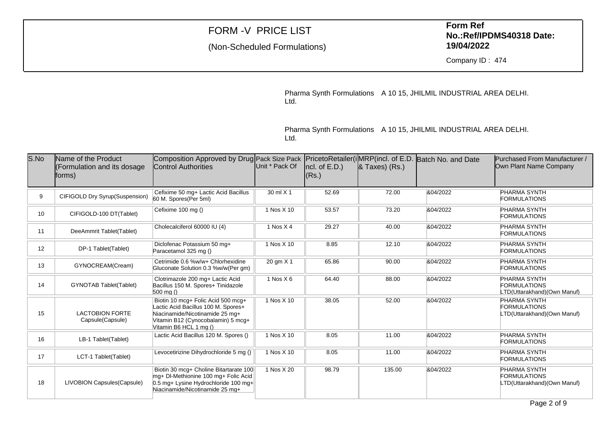### (Non-Scheduled Formulations)

**Form Ref No.:Ref/IPDMS40318 Date:19/04/2022**

Company ID : 474

Pharma Synth Formulations A 10 15, JHILMIL INDUSTRIAL AREA DELHI. Ltd.

| S.No | Name of the Product<br>(Formulation and its dosage<br>fforms) | Composition Approved by Drug Pack Size Pack<br><b>Control Authorities</b>                                                                                                    | Unit * Pack Of | $ ncl.$ of $E.D.$ )<br>(Rs.) | PricetoRetailer(iMRP(incl. of E.D.<br>$\&$ Taxes) (Rs.) | Batch No. and Date | Purchased From Manufacturer /<br>Own Plant Name Company                   |
|------|---------------------------------------------------------------|------------------------------------------------------------------------------------------------------------------------------------------------------------------------------|----------------|------------------------------|---------------------------------------------------------|--------------------|---------------------------------------------------------------------------|
| 9    | CIFIGOLD Dry Syrup(Suspension)                                | Cefixime 50 mg+ Lactic Acid Bacillus<br>60 M. Spores(Per 5ml)                                                                                                                | 30 ml X 1      | 52.69                        | 72.00                                                   | 804/2022           | <b>PHARMA SYNTH</b><br><b>FORMULATIONS</b>                                |
| 10   | CIFIGOLD-100 DT(Tablet)                                       | Cefixime 100 mg ()                                                                                                                                                           | 1 Nos X 10     | 53.57                        | 73.20                                                   | 804/2022           | <b>PHARMA SYNTH</b><br><b>FORMULATIONS</b>                                |
| 11   | DeeAmmrit Tablet(Tablet)                                      | Cholecalciferol 60000 IU (4)                                                                                                                                                 | 1 Nos $X$ 4    | 29.27                        | 40.00                                                   | 804/2022           | <b>PHARMA SYNTH</b><br><b>FORMULATIONS</b>                                |
| 12   | DP-1 Tablet(Tablet)                                           | Diclofenac Potassium 50 mg+<br>Paracetamol 325 mg ()                                                                                                                         | 1 Nos X 10     | 8.85                         | 12.10                                                   | 804/2022           | <b>PHARMA SYNTH</b><br><b>FORMULATIONS</b>                                |
| 13   | GYNOCREAM(Cream)                                              | Cetrimide 0.6 %w/w+ Chlorhexidine<br>Gluconate Solution 0.3 %w/w(Per gm)                                                                                                     | 20 gm X 1      | 65.86                        | 90.00                                                   | &04/2022           | <b>PHARMA SYNTH</b><br><b>FORMULATIONS</b>                                |
| 14   | <b>GYNOTAB Tablet(Tablet)</b>                                 | Clotrimazole 200 mg+ Lactic Acid<br>Bacillus 150 M. Spores+ Tinidazole<br>$500 \text{ mg}()$                                                                                 | 1 Nos $X_6$    | 64.40                        | 88.00                                                   | &04/2022           | <b>PHARMA SYNTH</b><br><b>FORMULATIONS</b><br>LTD(Uttarakhand)(Own Manuf) |
| 15   | <b>LACTOBION FORTE</b><br>Capsule(Capsule)                    | Biotin 10 mcg+ Folic Acid 500 mcg+<br>Lactic Acid Bacillus 100 M. Spores+<br>Niacinamide/Nicotinamide 25 mg+<br>Vitamin B12 (Cynocobalamin) 5 mcg+<br>Vitamin B6 HCL 1 mg () | 1 Nos X 10     | 38.05                        | 52.00                                                   | &04/2022           | <b>PHARMA SYNTH</b><br><b>FORMULATIONS</b><br>LTD(Uttarakhand)(Own Manuf) |
| 16   | LB-1 Tablet(Tablet)                                           | Lactic Acid Bacillus 120 M. Spores ()                                                                                                                                        | 1 Nos X 10     | 8.05                         | 11.00                                                   | &04/2022           | <b>PHARMA SYNTH</b><br><b>FORMULATIONS</b>                                |
| 17   | LCT-1 Tablet(Tablet)                                          | Levocetirizine Dihydrochloride 5 mg ()                                                                                                                                       | 1 Nos X 10     | 8.05                         | 11.00                                                   | &04/2022           | <b>PHARMA SYNTH</b><br><b>FORMULATIONS</b>                                |
| 18   | LIVOBION Capsules(Capsule)                                    | Biotin 30 mcg+ Choline Bitartarate 100<br>mg+ DI-Methionine 100 mg+ Folic Acid<br>0.5 mg+ Lysine Hydrochloride 100 mg+<br>Niacinamide/Nicotinamide 25 mg+                    | 1 Nos X 20     | 98.79                        | 135.00                                                  | &04/2022           | <b>PHARMA SYNTH</b><br><b>FORMULATIONS</b><br>LTD(Uttarakhand)(Own Manuf) |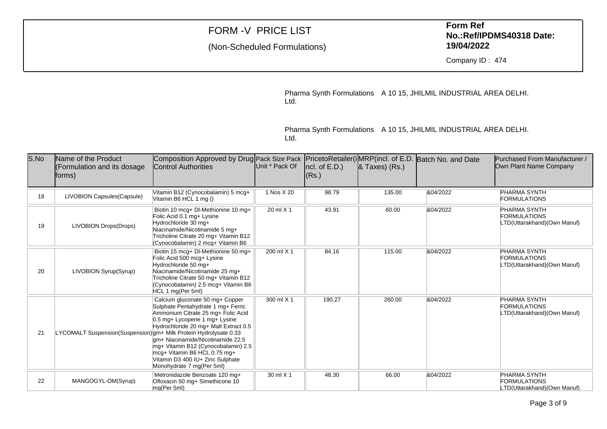### (Non-Scheduled Formulations)

**Form Ref No.:Ref/IPDMS40318 Date:19/04/2022**

Company ID : 474

Pharma Synth Formulations A 10 15, JHILMIL INDUSTRIAL AREA DELHI. Ltd.

| S.No | Name of the Product<br>(Formulation and its dosage<br>forms)      | Composition Approved by Drug Pack Size Pack<br>Control Authorities                                                                                                                                                                                                                                                                                                 | Unit * Pack Of | $ncl.$ of $E.D.$ )<br>(Rs.) | PricetoRetailer(iMRP(incl. of E.D.<br>& Taxes) (Rs.) | Batch No. and Date | Purchased From Manufacturer /<br>Own Plant Name Company                   |
|------|-------------------------------------------------------------------|--------------------------------------------------------------------------------------------------------------------------------------------------------------------------------------------------------------------------------------------------------------------------------------------------------------------------------------------------------------------|----------------|-----------------------------|------------------------------------------------------|--------------------|---------------------------------------------------------------------------|
| 18   | LIVOBION Capsules(Capsule)                                        | Vitamin B12 (Cynocobalamin) 5 mcq+<br>Vitamin B6 HCL 1 mg ()                                                                                                                                                                                                                                                                                                       | 1 Nos X 20     | 98.79                       | 135.00                                               | &04/2022           | <b>PHARMA SYNTH</b><br><b>FORMULATIONS</b>                                |
| 19   | <b>LIVOBION Drops(Drops)</b>                                      | Biotin 10 mcg+ DI-Methionine 10 mg+<br>Folic Acid 0.1 mg+ Lysine<br>Hydrochloride 30 mg+<br>Niacinamide/Nicotinamide 5 mg+<br>Tricholine Citrate 20 mg+ Vitamin B12<br>(Cynocobalamin) 2 mcg+ Vitamin B6                                                                                                                                                           | 20 ml X 1      | 43.91                       | 60.00                                                | 804/2022           | <b>PHARMA SYNTH</b><br><b>FORMULATIONS</b><br>LTD(Uttarakhand)(Own Manuf) |
| 20   | LIVOBION Syrup(Syrup)                                             | Biotin 15 mcg+ DI-Methionine 50 mg+<br>Folic Acid 500 mcg+ Lysine<br>Hydrochloride 50 mg+<br>Niacinamide/Nicotinamide 25 mg+<br>Tricholine Citrate 50 mg+ Vitamin B12<br>(Cynocobalamin) 2.5 mcg+ Vitamin B6<br>HCL 1 mg(Per 5ml)                                                                                                                                  | 200 ml X 1     | 84.16                       | 115.00                                               | 804/2022           | <b>PHARMA SYNTH</b><br><b>FORMULATIONS</b><br>LTD(Uttarakhand)(Own Manuf) |
| 21   | LYCOMALT Suspension(Suspension) gm+ Milk Protein Hydrolysate 0.33 | Calcium gluconate 50 mg+ Copper<br>Sulphate Pentahydrate 1 mg+ Ferric<br>Ammonium Citrate 25 mg+ Folic Acid<br>0.5 mg+ Lycopene 1 mg+ Lysine<br>Hydrochloride 20 mg+ Malt Extract 0.5<br>gm+ Niacinamide/Nicotinamide 22.5<br>mg+ Vitamin B12 (Cynocobalamin) 2.5<br>mcg+ Vitamin B6 HCL 0.75 mg+<br>Vitamin D3 400 IU+ Zinc Sulphate<br>Monohydrate 7 mg(Per 5ml) | 300 ml X 1     | 190.27                      | 260.00                                               | 804/2022           | PHARMA SYNTH<br><b>FORMULATIONS</b><br>LTD(Uttarakhand)(Own Manuf)        |
| 22   | MANGOGYL-OM(Syrup)                                                | Metronidazole Benzoate 120 mg+<br>Ofloxacin 50 mg+ Simethicone 10<br>mg(Per 5ml)                                                                                                                                                                                                                                                                                   | 30 ml X 1      | 48.30                       | 66.00                                                | &04/2022           | <b>PHARMA SYNTH</b><br><b>FORMULATIONS</b><br>LTD(Uttarakhand)(Own Manuf) |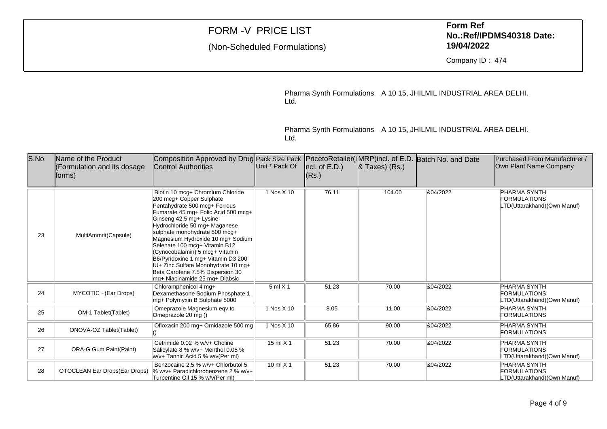### (Non-Scheduled Formulations)

**Form Ref No.:Ref/IPDMS40318 Date:19/04/2022**

Company ID : 474

Pharma Synth Formulations A 10 15, JHILMIL INDUSTRIAL AREA DELHI. Ltd.

| S.No | Name of the Product<br>(Formulation and its dosage<br>(forms | Composition Approved by Drug Pack Size Pack   Priceto Retailer(i MRP(incl. of E.D.<br><b>Control Authorities</b>                                                                                                                                                                                                                                                                                                                                                                             | Unit * Pack Of | $ ncl.$ of $E.D.)$<br>(Rs.) | $\&$ Taxes) (Rs.) | Batch No. and Date | Purchased From Manufacturer /<br>Own Plant Name Company                   |
|------|--------------------------------------------------------------|----------------------------------------------------------------------------------------------------------------------------------------------------------------------------------------------------------------------------------------------------------------------------------------------------------------------------------------------------------------------------------------------------------------------------------------------------------------------------------------------|----------------|-----------------------------|-------------------|--------------------|---------------------------------------------------------------------------|
| 23   | MultiAmmrit(Capsule)                                         | Biotin 10 mcg+ Chromium Chloride<br>200 mcg+ Copper Sulphate<br>Pentahydrate 500 mcq+ Ferrous<br>Fumarate 45 mg+ Folic Acid 500 mcg+<br>Ginseng 42.5 mg+ Lysine<br>Hydrochloride 50 mg+ Maganese<br>sulphate monohydrate 500 mcg+<br>Magnesium Hydroxide 10 mg+ Sodium<br>Selenate 100 mcq+ Vitamin B12<br>(Cynocobalamin) 5 mcg+ Vitamin<br>B6/Pyridoxine 1 mg+ Vitamin D3 200<br>IU+ Zinc Sulfate Monohydrate 10 mg+<br>Beta Carotene 7.5% Dispersion 30<br>mg+ Niacinamide 25 mg+ Diabsic | 1 Nos X 10     | 76.11                       | 104.00            | &04/2022           | <b>PHARMA SYNTH</b><br><b>FORMULATIONS</b><br>LTD(Uttarakhand)(Own Manuf) |
| 24   | MYCOTIC +(Ear Drops)                                         | Chloramphenicol 4 mg+<br>Dexamethasone Sodium Phosphate 1<br>mg+ Polymyxin B Sulphate 5000                                                                                                                                                                                                                                                                                                                                                                                                   | $5$ ml $X$ 1   | 51.23                       | 70.00             | 804/2022           | <b>PHARMA SYNTH</b><br><b>FORMULATIONS</b><br>LTD(Uttarakhand)(Own Manuf) |
| 25   | OM-1 Tablet(Tablet)                                          | Omeprazole Magnesium eqv.to<br>Omeprazole 20 mg ()                                                                                                                                                                                                                                                                                                                                                                                                                                           | 1 Nos X 10     | 8.05                        | 11.00             | &04/2022           | <b>PHARMA SYNTH</b><br><b>FORMULATIONS</b>                                |
| 26   | ONOVA-OZ Tablet(Tablet)                                      | Ofloxacin 200 mg+ Ornidazole 500 mg                                                                                                                                                                                                                                                                                                                                                                                                                                                          | 1 Nos X 10     | 65.86                       | 90.00             | &04/2022           | <b>PHARMA SYNTH</b><br><b>FORMULATIONS</b>                                |
| 27   | <b>ORA-G Gum Paint(Paint)</b>                                | Cetrimide 0.02 % w/v+ Choline<br>Salicylate 8 % w/v+ Menthol 0.05 %<br>w/v+ Tannic Acid 5 % w/v(Per ml)                                                                                                                                                                                                                                                                                                                                                                                      | 15 ml $X$ 1    | 51.23                       | 70.00             | &04/2022           | <b>PHARMA SYNTH</b><br><b>FORMULATIONS</b><br>LTD(Uttarakhand)(Own Manuf) |
| 28   | <b>OTOCLEAN Ear Drops (Ear Drops)</b>                        | Benzocaine 2.5 % w/v+ Chlorbutol 5<br>% w/v+ Paradichlorobenzene 2 % w/v+<br>Turpentine Oil 15 % w/v(Per ml)                                                                                                                                                                                                                                                                                                                                                                                 | 10 ml $X$ 1    | 51.23                       | 70.00             | &04/2022           | <b>PHARMA SYNTH</b><br><b>FORMULATIONS</b><br>LTD(Uttarakhand)(Own Manuf) |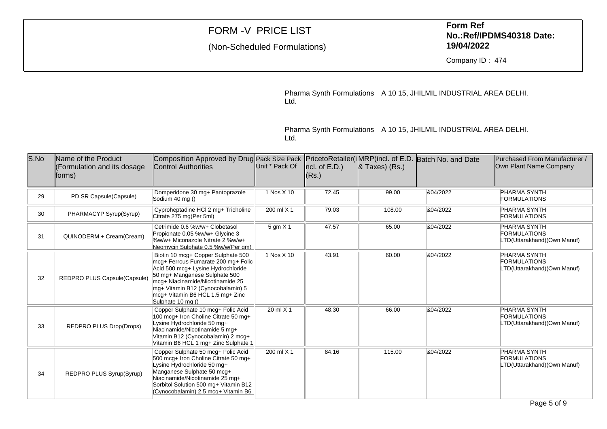### (Non-Scheduled Formulations)

**Form Ref No.:Ref/IPDMS40318 Date:19/04/2022**

Company ID : 474

Pharma Synth Formulations A 10 15, JHILMIL INDUSTRIAL AREA DELHI. Ltd.

| S.No | Name of the Product<br>(Formulation and its dosage<br>fforms) | Composition Approved by Drug Pack Size Pack<br><b>Control Authorities</b>                                                                                                                                                                                                          | Unit * Pack Of | ncl. of E.D.)<br>(Rs.) | PricetoRetailer(i MRP(incl. of E.D.<br>$\&$ Taxes) (Rs.) | Batch No. and Date | Purchased From Manufacturer /<br>Own Plant Name Company                   |
|------|---------------------------------------------------------------|------------------------------------------------------------------------------------------------------------------------------------------------------------------------------------------------------------------------------------------------------------------------------------|----------------|------------------------|----------------------------------------------------------|--------------------|---------------------------------------------------------------------------|
| 29   | PD SR Capsule(Capsule)                                        | Domperidone 30 mg+ Pantoprazole<br>Sodium 40 mg ()                                                                                                                                                                                                                                 | 1 Nos X 10     | 72.45                  | 99.00                                                    | &04/2022           | <b>PHARMA SYNTH</b><br><b>FORMULATIONS</b>                                |
| 30   | PHARMACYP Syrup(Syrup)                                        | Cyproheptadine HCl 2 mg+ Tricholine<br>Citrate 275 mg(Per 5ml)                                                                                                                                                                                                                     | 200 ml X 1     | 79.03                  | 108.00                                                   | 804/2022           | <b>PHARMA SYNTH</b><br><b>FORMULATIONS</b>                                |
| 31   | QUINODERM + Cream(Cream)                                      | Cetrimide 0.6 %w/w+ Clobetasol<br>Propionate 0.05 %w/w+ Glycine 3<br>%w/w+ Miconazole Nitrate 2 %w/w+<br>Neomycin Sulphate 0.5 %w/w(Per qm)                                                                                                                                        | 5 gm X 1       | 47.57                  | 65.00                                                    | 804/2022           | <b>PHARMA SYNTH</b><br><b>FORMULATIONS</b><br>LTD(Uttarakhand)(Own Manuf) |
| 32   | REDPRO PLUS Capsule(Capsule)                                  | Biotin 10 mcg+ Copper Sulphate 500<br>mcg+ Ferrous Fumarate 200 mg+ Folic<br>Acid 500 mcg+ Lysine Hydrochloride<br>50 mg+ Manganese Sulphate 500<br>mcg+ Niacinamide/Nicotinamide 25<br>mg+ Vitamin B12 (Cynocobalamin) 5<br>mcg+ Vitamin B6 HCL 1.5 mg+ Zinc<br>Sulphate 10 mg () | 1 Nos X 10     | 43.91                  | 60.00                                                    | &04/2022           | <b>PHARMA SYNTH</b><br><b>FORMULATIONS</b><br>LTD(Uttarakhand)(Own Manuf) |
| 33   | REDPRO PLUS Drop(Drops)                                       | Copper Sulphate 10 mcq+ Folic Acid<br>100 mcg+ Iron Choline Citrate 50 mg+<br>Lysine Hydrochloride 50 mg+<br>Niacinamide/Nicotinamide 5 mg+<br>Vitamin B12 (Cynocobalamin) 2 mcg+<br>Vitamin B6 HCL 1 mg+ Zinc Sulphate 1                                                          | 20 ml X 1      | 48.30                  | 66.00                                                    | 804/2022           | <b>PHARMA SYNTH</b><br><b>FORMULATIONS</b><br>LTD(Uttarakhand)(Own Manuf) |
| 34   | REDPRO PLUS Syrup(Syrup)                                      | Copper Sulphate 50 mcg+ Folic Acid<br>500 mcg+ Iron Choline Citrate 50 mg+<br>Lysine Hydrochloride 50 mg+<br>Manganese Sulphate 50 mcg+<br>Niacinamide/Nicotinamide 25 mg+<br>Sorbitol Solution 500 mg+ Vitamin B12<br>(Cynocobalamin) 2.5 mcg+ Vitamin B6                         | 200 ml X 1     | 84.16                  | 115.00                                                   | 804/2022           | <b>PHARMA SYNTH</b><br><b>FORMULATIONS</b><br>LTD(Uttarakhand)(Own Manuf) |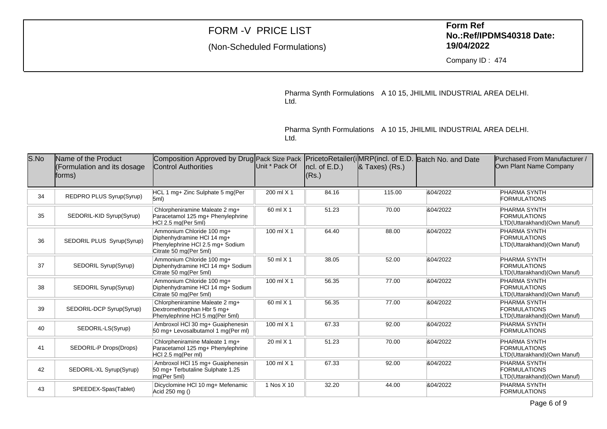### (Non-Scheduled Formulations)

**Form Ref No.:Ref/IPDMS40318 Date:19/04/2022**

Company ID : 474

Pharma Synth Formulations A 10 15, JHILMIL INDUSTRIAL AREA DELHI. Ltd.

| S.No | Name of the Product<br>(Formulation and its dosage<br>fforms) | Composition Approved by Drug Pack Size Pack<br><b>Control Authorities</b>                                              | Unit * Pack Of | ncl. of $E.D.$ )<br>(Rs.) | PricetoRetailer(iMRP(incl. of E.D.<br>$\&$ Taxes) (Rs.) | Batch No. and Date | Purchased From Manufacturer /<br>Own Plant Name Company                   |
|------|---------------------------------------------------------------|------------------------------------------------------------------------------------------------------------------------|----------------|---------------------------|---------------------------------------------------------|--------------------|---------------------------------------------------------------------------|
| 34   | REDPRO PLUS Syrup(Syrup)                                      | HCL 1 mg+ Zinc Sulphate 5 mg(Per<br>5ml)                                                                               | 200 ml X 1     | 84.16                     | 115.00                                                  | &04/2022           | <b>PHARMA SYNTH</b><br><b>FORMULATIONS</b>                                |
| 35   | SEDORIL-KID Syrup(Syrup)                                      | Chlorpheniramine Maleate 2 mg+<br>Paracetamol 125 mg+ Phenylephrine<br>HCl 2.5 mg(Per 5ml)                             | 60 ml X 1      | 51.23                     | 70.00                                                   | 804/2022           | <b>PHARMA SYNTH</b><br><b>FORMULATIONS</b><br>LTD(Uttarakhand)(Own Manuf) |
| 36   | SEDORIL PLUS Syrup(Syrup)                                     | Ammonium Chloride 100 mg+<br>Diphenhydramine HCl 14 mg+<br>Phenylephrine HCl 2.5 mg+ Sodium<br>Citrate 50 mg (Per 5ml) | 100 ml X 1     | 64.40                     | 88.00                                                   | &04/2022           | <b>PHARMA SYNTH</b><br><b>FORMULATIONS</b><br>LTD(Uttarakhand)(Own Manuf) |
| 37   | SEDORIL Syrup(Syrup)                                          | Ammonium Chloride 100 mg+<br>Diphenhydramine HCl 14 mg+ Sodium<br>Citrate 50 mg(Per 5ml)                               | 50 ml X 1      | 38.05                     | 52.00                                                   | &04/2022           | <b>PHARMA SYNTH</b><br><b>FORMULATIONS</b><br>LTD(Uttarakhand)(Own Manuf) |
| 38   | SEDORIL Syrup(Syrup)                                          | Ammonium Chloride 100 mg+<br>Diphenhydramine HCl 14 mg+ Sodium<br>Citrate 50 mg(Per 5ml)                               | 100 ml X 1     | 56.35                     | 77.00                                                   | 804/2022           | <b>PHARMA SYNTH</b><br><b>FORMULATIONS</b><br>LTD(Uttarakhand)(Own Manuf) |
| 39   | SEDORIL-DCP Syrup(Syrup)                                      | Chlorpheniramine Maleate 2 mq+<br>Dextromethorphan Hbr 5 mg+<br>Phenylephrine HCl 5 mg(Per 5ml)                        | 60 ml X 1      | 56.35                     | 77.00                                                   | 804/2022           | <b>PHARMA SYNTH</b><br><b>FORMULATIONS</b><br>LTD(Uttarakhand)(Own Manuf) |
| 40   | SEDORIL-LS(Syrup)                                             | Ambroxol HCl 30 mg+ Guaiphenesin<br>50 mg+ Levosalbutamol 1 mg(Per ml)                                                 | 100 ml $X$ 1   | 67.33                     | 92.00                                                   | 804/2022           | <b>PHARMA SYNTH</b><br><b>FORMULATIONS</b>                                |
| 41   | SEDORIL-P Drops(Drops)                                        | Chlorpheniramine Maleate 1 mg+<br>Paracetamol 125 mg+ Phenylephrine<br>HCI 2.5 mg(Per ml)                              | 20 ml X 1      | 51.23                     | 70.00                                                   | 804/2022           | <b>PHARMA SYNTH</b><br><b>FORMULATIONS</b><br>LTD(Uttarakhand)(Own Manuf) |
| 42   | SEDORIL-XL Syrup(Syrup)                                       | Ambroxol HCl 15 mg+ Guaiphenesin<br>50 mg+ Terbutaline Sulphate 1.25<br>mg(Per 5ml)                                    | 100 ml $X$ 1   | 67.33                     | 92.00                                                   | 804/2022           | <b>PHARMA SYNTH</b><br><b>FORMULATIONS</b><br>LTD(Uttarakhand)(Own Manuf) |
| 43   | SPEEDEX-Spas(Tablet)                                          | Dicyclomine HCl 10 mg+ Mefenamic<br>Acid 250 mg ()                                                                     | 1 Nos X 10     | 32.20                     | 44.00                                                   | &04/2022           | <b>PHARMA SYNTH</b><br><b>FORMULATIONS</b>                                |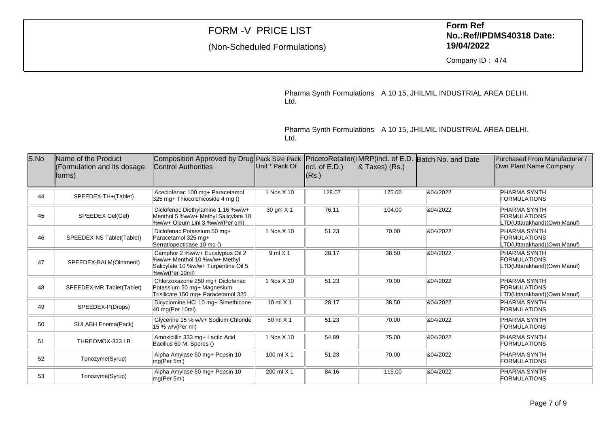### (Non-Scheduled Formulations)

**Form Ref No.:Ref/IPDMS40318 Date:19/04/2022**

Company ID : 474

Pharma Synth Formulations A 10 15, JHILMIL INDUSTRIAL AREA DELHI. Ltd.

| S.No | Name of the Product<br>(Formulation and its dosage<br>forms) | Composition Approved by Drug Pack Size Pack PricetoRetailer(iMRP(incl. of E.D.<br>Control Authorities                       | Unit * Pack Of     | $ ncl.$ of $E.D.$ )<br>(Rs.) | $\&$ Taxes) (Rs.) | Batch No. and Date | Purchased From Manufacturer /<br>Own Plant Name Company                   |
|------|--------------------------------------------------------------|-----------------------------------------------------------------------------------------------------------------------------|--------------------|------------------------------|-------------------|--------------------|---------------------------------------------------------------------------|
| 44   | SPEEDEX-TH+(Tablet)                                          | Aceclofenac 100 mg+ Paracetamol<br>325 mg+ Thiocolchicoside 4 mg ()                                                         | 1 Nos X 10         | 128.07                       | 175.00            | &04/2022           | <b>PHARMA SYNTH</b><br><b>FORMULATIONS</b>                                |
| 45   | SPEEDEX Gel(Gel)                                             | Diclofenac Diethylamine 1.16 %w/w+<br>Menthol 5 %w/w+ Methyl Salicylate 10<br>%w/w+ Oleum Lini 3 %w/w(Per gm)               | 30 gm X 1          | 76.11                        | 104.00            | &04/2022           | <b>PHARMA SYNTH</b><br><b>FORMULATIONS</b><br>LTD(Uttarakhand)(Own Manuf) |
| 46   | SPEEDEX-NS Tablet(Tablet)                                    | Diclofenac Potassium 50 mg+<br>Paracetamol 325 mg+<br>Serratiopeptidase 10 mg ()                                            | 1 Nos X 10         | 51.23                        | 70.00             | &04/2022           | <b>PHARMA SYNTH</b><br><b>FORMULATIONS</b><br>LTD(Uttarakhand)(Own Manuf) |
| 47   | SPEEDEX-BALM(Ointment)                                       | Camphor 2 %w/w+ Eucalyptus Oil 2<br>%w/w+ Menthol 10 %w/w+ Methyl<br>Salicylate 10 %w/w+ Turpentine Oil 5<br>%w/w(Per 10ml) | $9$ ml $\times$ 1  | 28.17                        | 38.50             | 804/2022           | <b>PHARMA SYNTH</b><br><b>FORMULATIONS</b><br>LTD(Uttarakhand)(Own Manuf) |
| 48   | SPEEDEX-MR Tablet(Tablet)                                    | Chlorzoxazone 250 mg+ Diclofenac<br>Potassium 50 mg+ Magnesium<br>Trisilicate 150 mg+ Paracetamol 325                       | 1 Nos X 10         | 51.23                        | 70.00             | &04/2022           | <b>PHARMA SYNTH</b><br><b>FORMULATIONS</b><br>LTD(Uttarakhand)(Own Manuf) |
| 49   | SPEEDEX-P(Drops)                                             | Dicyclomine HCl 10 mg+ Simethicone<br>40 mg(Per 10ml)                                                                       | $10 \text{ ml} X1$ | 28.17                        | 38.50             | &04/2022           | <b>PHARMA SYNTH</b><br><b>FORMULATIONS</b>                                |
| 50   | SULABH Enema(Pack)                                           | Glycerine 15 % w/v+ Sodium Chloride<br>15 % w/v(Per ml)                                                                     | 50 ml X 1          | 51.23                        | 70.00             | 804/2022           | <b>PHARMA SYNTH</b><br><b>FORMULATIONS</b>                                |
| 51   | THREOMOX-333 LB                                              | Amoxicillin 333 mg+ Lactic Acid<br>Bacillus 60 M. Spores ()                                                                 | 1 Nos X 10         | 54.89                        | 75.00             | &04/2022           | <b>PHARMA SYNTH</b><br><b>FORMULATIONS</b>                                |
| 52   | Tonozyme(Syrup)                                              | Alpha Amylase 50 mg+ Pepsin 10<br>mg(Per 5ml)                                                                               | 100 ml $X$ 1       | 51.23                        | 70.00             | &04/2022           | <b>PHARMA SYNTH</b><br><b>FORMULATIONS</b>                                |
| 53   | Tonozyme(Syrup)                                              | Alpha Amylase 50 mg+ Pepsin 10<br>mg(Per 5ml)                                                                               | 200 ml X 1         | 84.16                        | 115.00            | &04/2022           | <b>PHARMA SYNTH</b><br><b>FORMULATIONS</b>                                |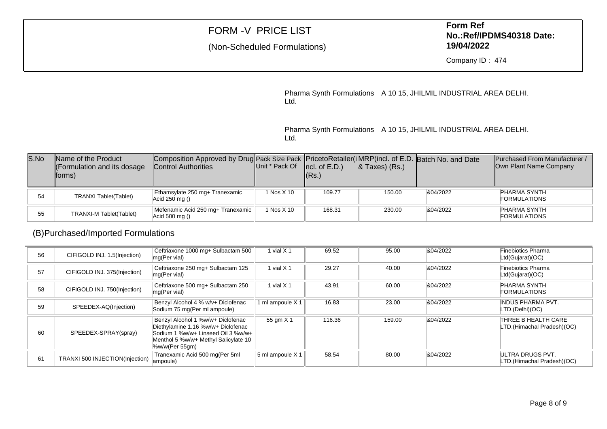### (Non-Scheduled Formulations)

**Form Ref No.:Ref/IPDMS40318 Date:19/04/2022**

Company ID : 474

Pharma Synth Formulations A 10 15, JHILMIL INDUSTRIAL AREA DELHI. Ltd.

Pharma Synth Formulations A 10 15, JHILMIL INDUSTRIAL AREA DELHI. Ltd.

| S.No | Name of the Product<br>(Formulation and its dosage<br>forms) | Composition Approved by Drug Pack Size Pack Priceto Retailer (iMRP (incl. of E.D. Batch No. and Date<br><b>Control Authorities</b> | Unit * Pack Of ncl. of E.D.) | (Rs.)  | $\&$ Taxes) (Rs.) |          | <b>Purchased From Manufacturer</b> /<br>Own Plant Name Company |
|------|--------------------------------------------------------------|------------------------------------------------------------------------------------------------------------------------------------|------------------------------|--------|-------------------|----------|----------------------------------------------------------------|
| 54   | <b>TRANXI Tablet(Tablet)</b>                                 | Ethamsylate 250 mg+ Tranexamic<br>Acid 250 mg ()                                                                                   | 1 Nos X 10                   | 109.77 | 150.00            | &04/2022 | <b>PHARMA SYNTH</b><br><b>FORMULATIONS</b>                     |
| 55   | <b>TRANXI-M Tablet(Tablet)</b>                               | Mefenamic Acid 250 mg+ Tranexamic<br>Acid 500 mg ()                                                                                | 1 Nos X 10                   | 168.31 | 230.00            | &04/2022 | <b>PHARMA SYNTH</b><br><b>FORMULATIONS</b>                     |

### (B)Purchased/Imported Formulations

| 56 | CIFIGOLD INJ. 1.5(Injection)    | Ceftriaxone 1000 mg+ Sulbactam 500<br>mg(Per vial)                                                                                                                      | 1 vial $X$ 1     | 69.52  | 95.00  | &04/2022 | Finebiotics Pharma<br>Ltd(Gujarat)(OC)            |
|----|---------------------------------|-------------------------------------------------------------------------------------------------------------------------------------------------------------------------|------------------|--------|--------|----------|---------------------------------------------------|
| 57 | CIFIGOLD INJ. 375(Injection)    | Ceftriaxone 250 mg+ Sulbactam 125<br>mg(Per vial)                                                                                                                       | 1 vial $X$ 1     | 29.27  | 40.00  | &04/2022 | Finebiotics Pharma<br>Ltd(Gujarat)(OC)            |
| 58 | CIFIGOLD INJ. 750(Injection)    | Ceftriaxone 500 mg+ Sulbactam 250<br>mg(Per vial)                                                                                                                       | 1 vial $X$ 1     | 43.91  | 60.00  | &04/2022 | <b>PHARMA SYNTH</b><br><b>FORMULATIONS</b>        |
| 59 | SPEEDEX-AQ(Injection)           | Benzyl Alcohol 4 % w/v+ Diclofenac<br>Sodium 75 mg (Per ml ampoule)                                                                                                     | 1 ml ampoule X 1 | 16.83  | 23.00  | &04/2022 | <b>INDUS PHARMA PVT.</b><br>LTD.(Delhi)(OC)       |
| 60 | SPEEDEX-SPRAY(spray)            | Benzyl Alcohol 1 %w/w+ Diclofenac<br>Diethylamine 1.16 %w/w+ Diclofenac<br>Sodium 1 %w/w+ Linseed Oil 3 %w/w+<br>Menthol 5 %w/w+ Methyl Salicylate 10<br>%w/w(Per 55gm) | 55 gm X 1        | 116.36 | 159.00 | &04/2022 | THREE B HEALTH CARE<br>LTD.(Himachal Pradesh)(OC) |
| 61 | TRANXI 500 INJECTION(Injection) | Tranexamic Acid 500 mg (Per 5ml<br>ampoule)                                                                                                                             | 5 ml ampoule X 1 | 58.54  | 80.00  | &04/2022 | ULTRA DRUGS PVT.<br>LTD.(Himachal Pradesh)(OC)    |